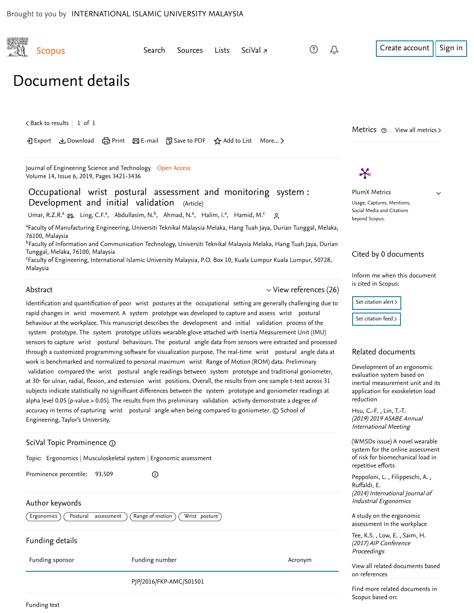

Funding details

Funding sponsor Funding number Acronym

PJP/2016/FKP-AMC/S01501

Find more related documents in Scopus based on: on references

[View all related documents based](https://www.scopus.com/search/submit/mlt.uri?eid=2-s2.0-85077456762&src=s&all=true&origin=recordpage&method=ref&zone=relatedDocuments)

Proceedings

Funding text